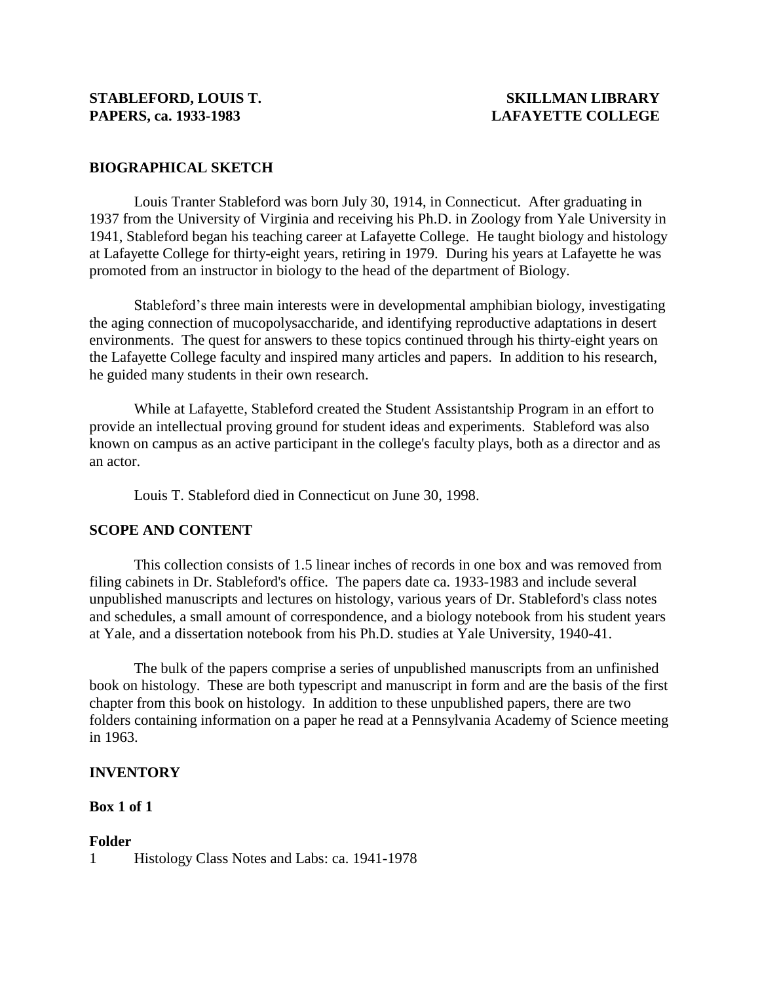## **BIOGRAPHICAL SKETCH**

Louis Tranter Stableford was born July 30, 1914, in Connecticut. After graduating in 1937 from the University of Virginia and receiving his Ph.D. in Zoology from Yale University in 1941, Stableford began his teaching career at Lafayette College. He taught biology and histology at Lafayette College for thirty-eight years, retiring in 1979. During his years at Lafayette he was promoted from an instructor in biology to the head of the department of Biology.

Stableford's three main interests were in developmental amphibian biology, investigating the aging connection of mucopolysaccharide, and identifying reproductive adaptations in desert environments. The quest for answers to these topics continued through his thirty-eight years on the Lafayette College faculty and inspired many articles and papers. In addition to his research, he guided many students in their own research.

While at Lafayette, Stableford created the Student Assistantship Program in an effort to provide an intellectual proving ground for student ideas and experiments. Stableford was also known on campus as an active participant in the college's faculty plays, both as a director and as an actor.

Louis T. Stableford died in Connecticut on June 30, 1998.

### **SCOPE AND CONTENT**

This collection consists of 1.5 linear inches of records in one box and was removed from filing cabinets in Dr. Stableford's office. The papers date ca. 1933-1983 and include several unpublished manuscripts and lectures on histology, various years of Dr. Stableford's class notes and schedules, a small amount of correspondence, and a biology notebook from his student years at Yale, and a dissertation notebook from his Ph.D. studies at Yale University, 1940-41.

The bulk of the papers comprise a series of unpublished manuscripts from an unfinished book on histology. These are both typescript and manuscript in form and are the basis of the first chapter from this book on histology. In addition to these unpublished papers, there are two folders containing information on a paper he read at a Pennsylvania Academy of Science meeting in 1963.

### **INVENTORY**

### **Box 1 of 1**

### **Folder**

1 Histology Class Notes and Labs: ca. 1941-1978